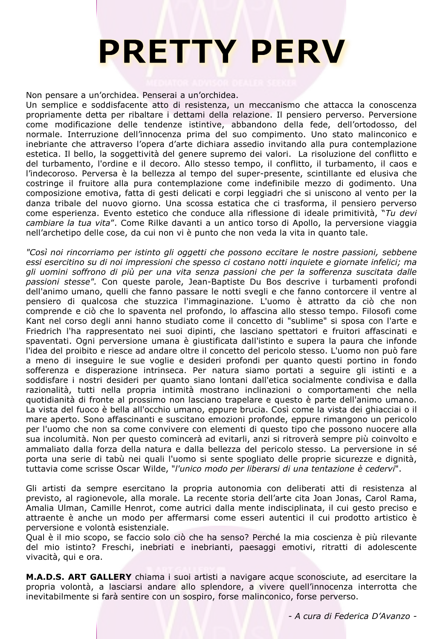## **PRETTY PERV**

Non pensare a un'orchidea. Penserai a un'orchidea.

Un semplice e soddisfacente atto di resistenza, un meccanismo che attacca la conoscenza propriamente detta per ribaltare i dettami della relazione. Il pensiero perverso. Perversione come modificazione delle tendenze istintive, abbandono della fede, dell'ortodosso, del normale. Interruzione dell'innocenza prima del suo compimento. Uno stato malinconico e inebriante che attraverso l'opera d'arte dichiara assedio invitando alla pura contemplazione estetica. Il bello, la soggettività del genere supremo dei valori. La risoluzione del conflitto e del turbamento, l'ordine e il decoro. Allo stesso tempo, il conflitto, il turbamento, il caos e l'indecoroso. Perversa è la bellezza al tempo del super-presente, scintillante ed elusiva che costringe il fruitore alla pura contemplazione come indefinibile mezzo di godimento. Una composizione emotiva, fatta di gesti delicati e corpi leggiadri che si uniscono al vento per la danza tribale del nuovo giorno. Una scossa estatica che ci trasforma, il pensiero perverso come esperienza. Evento estetico che conduce alla riflessione di ideale primitività, "*Tu devi cambiare la tua vita*". Come Rilke davanti a un antico torso di Apollo, la perversione viaggia nell'archetipo delle cose, da cui non vi è punto che non veda la vita in quanto tale.

*"Così noi rincorriamo per istinto gli oggetti che possono eccitare le nostre passioni, sebbene essi esercitino su di noi impressioni che spesso ci costano notti inquiete e giornate infelici; ma gli uomini soffrono di più per una vita senza passioni che per la sofferenza suscitata dalle passioni stesse".* Con queste parole, Jean-Baptiste Du Bos descrive i turbamenti profondi dell'animo umano, quelli che fanno passare le notti svegli e che fanno contorcere il ventre al pensiero di qualcosa che stuzzica l'immaginazione. L'uomo è attratto da ciò che non comprende e ciò che lo spaventa nel profondo, lo affascina allo stesso tempo. Filosofi come Kant nel corso degli anni hanno studiato come il concetto di "sublime" si sposa con l'arte e Friedrich l'ha rappresentato nei suoi dipinti, che lasciano spettatori e fruitori affascinati e spaventati. Ogni perversione umana è giustificata dall'istinto e supera la paura che infonde l'idea del proibito e riesce ad andare oltre il concetto del pericolo stesso. L'uomo non può fare a meno di inseguire le sue voglie e desideri profondi per quanto questi portino in fondo sofferenza e disperazione intrinseca. Per natura siamo portati a seguire gli istinti e a soddisfare i nostri desideri per quanto siano lontani dall'etica socialmente condivisa e dalla razionalità, tutti nella propria intimità mostrano inclinazioni o comportamenti che nella quotidianità di fronte al prossimo non lasciano trapelare e questo è parte dell'animo umano. La vista del fuoco è bella all'occhio umano, eppure brucia. Così come la vista dei ghiacciai o il mare aperto. Sono affascinanti e suscitano emozioni profonde, eppure rimangono un pericolo per l'uomo che non sa come convivere con elementi di questo tipo che possono nuocere alla sua incolumità. Non per questo comincerà ad evitarli, anzi si ritroverà sempre più coinvolto e ammaliato dalla forza della natura e dalla bellezza del pericolo stesso. La perversione in sé porta una serie di tabù nei quali l'uomo si sente spogliato delle proprie sicurezze e dignità, tuttavia come scrisse Oscar Wilde, "*l'unico modo per liberarsi di una tentazione è cedervi*".

Gli artisti da sempre esercitano la propria autonomia con deliberati atti di resistenza al previsto, al ragionevole, alla morale. La recente storia dell'arte cita Joan Jonas, Carol Rama, Amalia Ulman, Camille Henrot, come autrici dalla mente indisciplinata, il cui gesto preciso e attraente è anche un modo per affermarsi come esseri autentici il cui prodotto artistico è perversione e volontà esistenziale.

Qual è il mio scopo, se faccio solo ciò che ha senso? Perché la mia coscienza è più rilevante del mio istinto? Freschi, inebriati e inebrianti, paesaggi emotivi, ritratti di adolescente vivacità, qui e ora.

**M.A.D.S. ART GALLERY** chiama i suoi artisti a navigare acque sconosciute, ad esercitare la propria volontà, a lasciarsi andare allo splendore, a vivere quell'innocenza interrotta che inevitabilmente si farà sentire con un sospiro, forse malinconico, forse perverso.